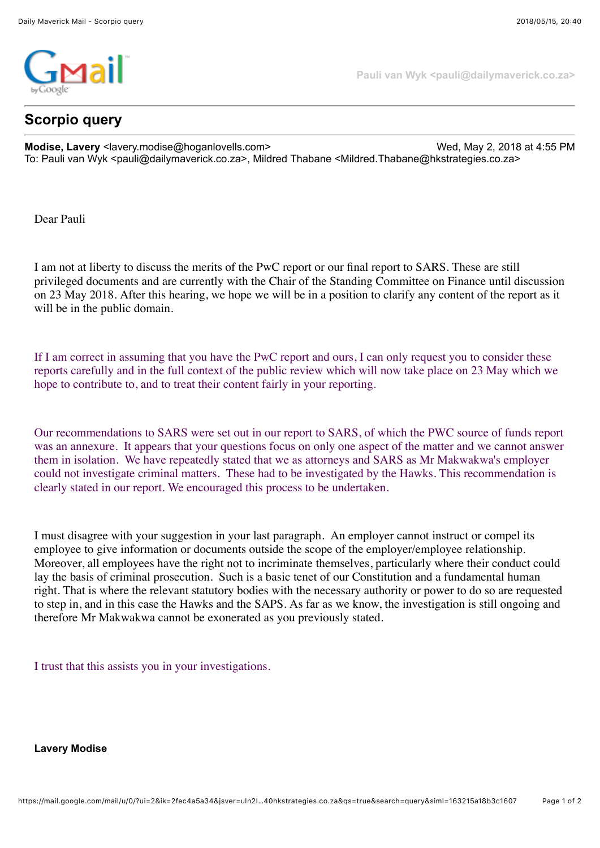

## **Scorpio query**

**Pauli van Wyk <pauli@dailymaverick.co.za>**

**Modise, Lavery** <lavery.modise@hoganlovells.com> Wed, May 2, 2018 at 4:55 PM To: Pauli van Wyk <pauli@dailymaverick.co.za>, Mildred Thabane <Mildred.Thabane@hkstrategies.co.za>

Dear Pauli

I am not at liberty to discuss the merits of the PwC report or our final report to SARS. These are still privileged documents and are currently with the Chair of the Standing Committee on Finance until discussion on 23 May 2018. After this hearing, we hope we will be in a position to clarify any content of the report as it will be in the public domain.

If I am correct in assuming that you have the PwC report and ours, I can only request you to consider these reports carefully and in the full context of the public review which will now take place on 23 May which we hope to contribute to, and to treat their content fairly in your reporting.

Our recommendations to SARS were set out in our report to SARS, of which the PWC source of funds report was an annexure. It appears that your questions focus on only one aspect of the matter and we cannot answer them in isolation. We have repeatedly stated that we as attorneys and SARS as Mr Makwakwa's employer could not investigate criminal matters. These had to be investigated by the Hawks. This recommendation is clearly stated in our report. We encouraged this process to be undertaken.

I must disagree with your suggestion in your last paragraph. An employer cannot instruct or compel its employee to give information or documents outside the scope of the employer/employee relationship. Moreover, all employees have the right not to incriminate themselves, particularly where their conduct could lay the basis of criminal prosecution. Such is a basic tenet of our Constitution and a fundamental human right. That is where the relevant statutory bodies with the necessary authority or power to do so are requested to step in, and in this case the Hawks and the SAPS. As far as we know, the investigation is still ongoing and therefore Mr Makwakwa cannot be exonerated as you previously stated.

I trust that this assists you in your investigations.

**Lavery Modise**